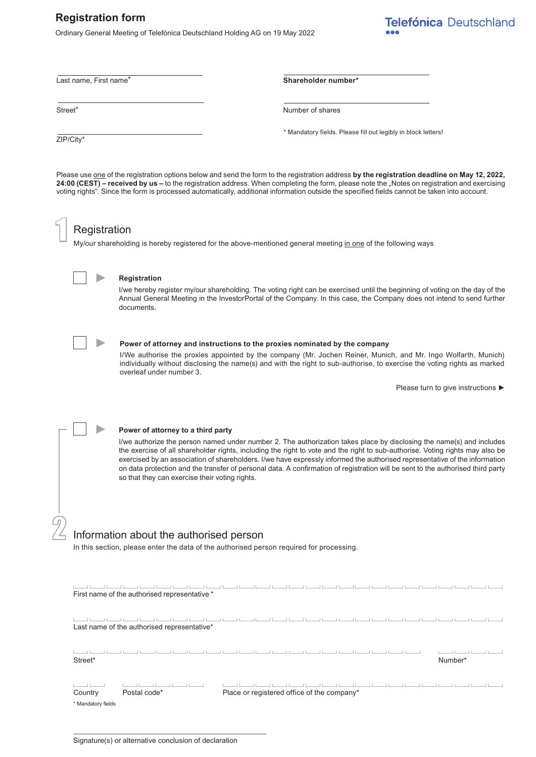# **Registration form**

Ordinary General Meeting of Telefónica Deutschland Holding AG on 19 May 2022

Telefónica Deutschland

ZIP/City\*

Last name, First name\* **Shareholder number\***

Street<sup>\*</sup> Number of shares

\* Mandatory fields. Please fill out legibly in block letters!

Please use one of the registration options below and send the form to the registration address **by the registration deadline on May 12, 2022,**  24:00 (CEST) – received by us – to the registration address. When completing the form, please note the "Notes on registration and exercising voting rights". Since the form is processed automatically, additional information outside the specified fields cannot be taken into account.

### **Registration**

**►**

My/our shareholding is hereby registered for the above-mentioned general meeting in one of the following ways



 $\left\lceil \right\rceil$ 

### **Registration**

I/we hereby register my/our shareholding. The voting right can be exercised until the beginning of voting on the day of the Annual General Meeting in the InvestorPortal of the Company. In this case, the Company does not intend to send further documents.



2

**►**

**►**

#### **Power of attorney and instructions to the proxies nominated by the company**

I/We authorise the proxies appointed by the company (Mr. Jochen Reiner, Munich, and Mr. Ingo Wolfarth, Munich) individually without disclosing the name(s) and with the right to sub-authorise, to exercise the voting rights as marked overleaf under number 3.

Please turn to give instructions **►**

**Power of attorney to a third party**

I/we authorize the person named under number 2. The authorization takes place by disclosing the name(s) and includes the exercise of all shareholder rights, including the right to vote and the right to sub-authorise. Voting rights may also be exercised by an association of shareholders. I/we have expressly informed the authorised representative of the information on data protection and the transfer of personal data. A confirmation of registration will be sent to the authorised third party so that they can exercise their voting rights.

## Information about the authorised person

In this section, please enter the data of the authorised person required for processing.

| First name of the authorised representative * |                                            |  |  |  |  |  |  |         |  |  |
|-----------------------------------------------|--------------------------------------------|--|--|--|--|--|--|---------|--|--|
| Last name of the authorised representative*   |                                            |  |  |  |  |  |  |         |  |  |
| Street*                                       |                                            |  |  |  |  |  |  | Number* |  |  |
| Postal code*<br>Country<br>* Mandatory fields | Place or registered office of the company* |  |  |  |  |  |  |         |  |  |